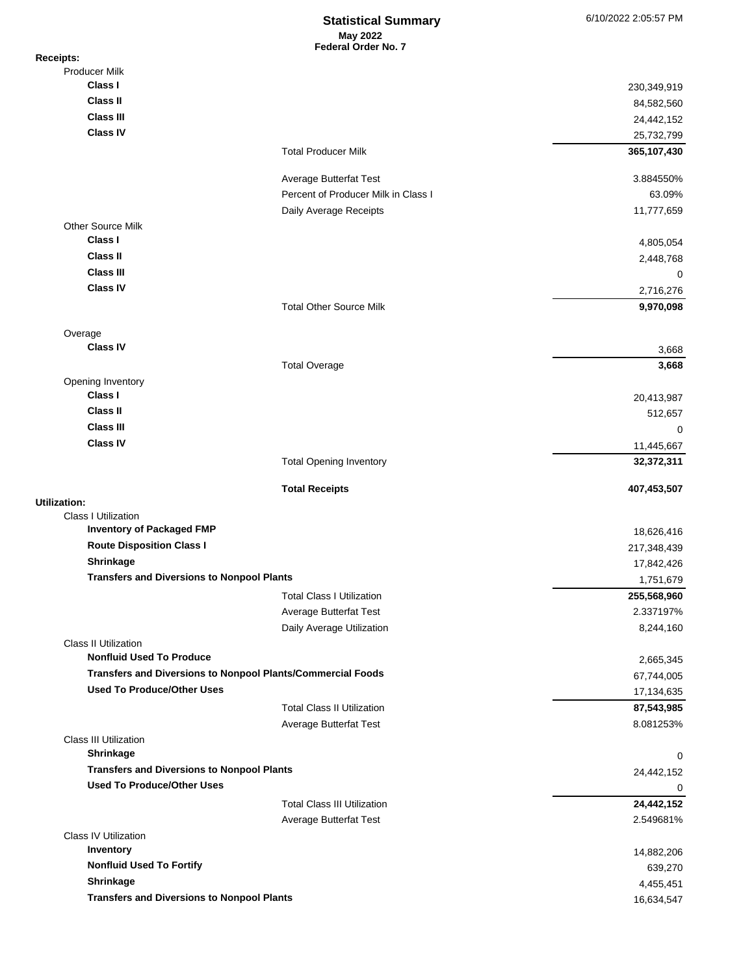## **May 2022 Federal Order No. 7 Statistical Summary** 6/10/2022 2:05:57 PM

| <b>Receipts:</b>                                                                       |                                     |                      |
|----------------------------------------------------------------------------------------|-------------------------------------|----------------------|
| <b>Producer Milk</b>                                                                   |                                     |                      |
| Class I                                                                                |                                     | 230,349,919          |
| <b>Class II</b>                                                                        |                                     | 84,582,560           |
| <b>Class III</b>                                                                       |                                     | 24,442,152           |
| <b>Class IV</b>                                                                        |                                     | 25,732,799           |
|                                                                                        | <b>Total Producer Milk</b>          | 365,107,430          |
|                                                                                        | Average Butterfat Test              | 3.884550%            |
|                                                                                        | Percent of Producer Milk in Class I | 63.09%               |
|                                                                                        | Daily Average Receipts              | 11,777,659           |
| <b>Other Source Milk</b><br>Class I                                                    |                                     | 4,805,054            |
| <b>Class II</b>                                                                        |                                     | 2,448,768            |
| <b>Class III</b>                                                                       |                                     | 0                    |
| <b>Class IV</b>                                                                        |                                     | 2,716,276            |
|                                                                                        | <b>Total Other Source Milk</b>      | 9,970,098            |
| Overage                                                                                |                                     |                      |
| <b>Class IV</b>                                                                        |                                     | 3,668                |
|                                                                                        | <b>Total Overage</b>                | 3,668                |
| Opening Inventory<br>Class I                                                           |                                     |                      |
| <b>Class II</b>                                                                        |                                     | 20,413,987           |
| <b>Class III</b>                                                                       |                                     | 512,657              |
| <b>Class IV</b>                                                                        |                                     | 0                    |
|                                                                                        |                                     | 11,445,667           |
|                                                                                        | <b>Total Opening Inventory</b>      | 32,372,311           |
| Utilization:                                                                           | <b>Total Receipts</b>               | 407,453,507          |
| <b>Class I Utilization</b>                                                             |                                     |                      |
| <b>Inventory of Packaged FMP</b>                                                       |                                     | 18,626,416           |
| <b>Route Disposition Class I</b>                                                       |                                     | 217,348,439          |
| Shrinkage                                                                              |                                     | 17,842,426           |
| <b>Transfers and Diversions to Nonpool Plants</b>                                      |                                     | 1,751,679            |
|                                                                                        | <b>Total Class I Utilization</b>    | 255,568,960          |
|                                                                                        | Average Butterfat Test              | 2.337197%            |
|                                                                                        | Daily Average Utilization           | 8,244,160            |
| <b>Class II Utilization</b><br><b>Nonfluid Used To Produce</b>                         |                                     | 2,665,345            |
| Transfers and Diversions to Nonpool Plants/Commercial Foods                            |                                     | 67,744,005           |
| <b>Used To Produce/Other Uses</b>                                                      |                                     | 17,134,635           |
|                                                                                        | <b>Total Class II Utilization</b>   | 87,543,985           |
|                                                                                        | Average Butterfat Test              | 8.081253%            |
| <b>Class III Utilization</b>                                                           |                                     |                      |
| <b>Shrinkage</b>                                                                       |                                     | 0                    |
| <b>Transfers and Diversions to Nonpool Plants</b><br><b>Used To Produce/Other Uses</b> |                                     | 24,442,152           |
|                                                                                        |                                     | 0                    |
|                                                                                        | <b>Total Class III Utilization</b>  | 24,442,152           |
| <b>Class IV Utilization</b>                                                            | Average Butterfat Test              | 2.549681%            |
| Inventory                                                                              |                                     | 14,882,206           |
|                                                                                        |                                     |                      |
| <b>Nonfluid Used To Fortify</b>                                                        |                                     |                      |
| Shrinkage                                                                              |                                     | 639,270<br>4,455,451 |